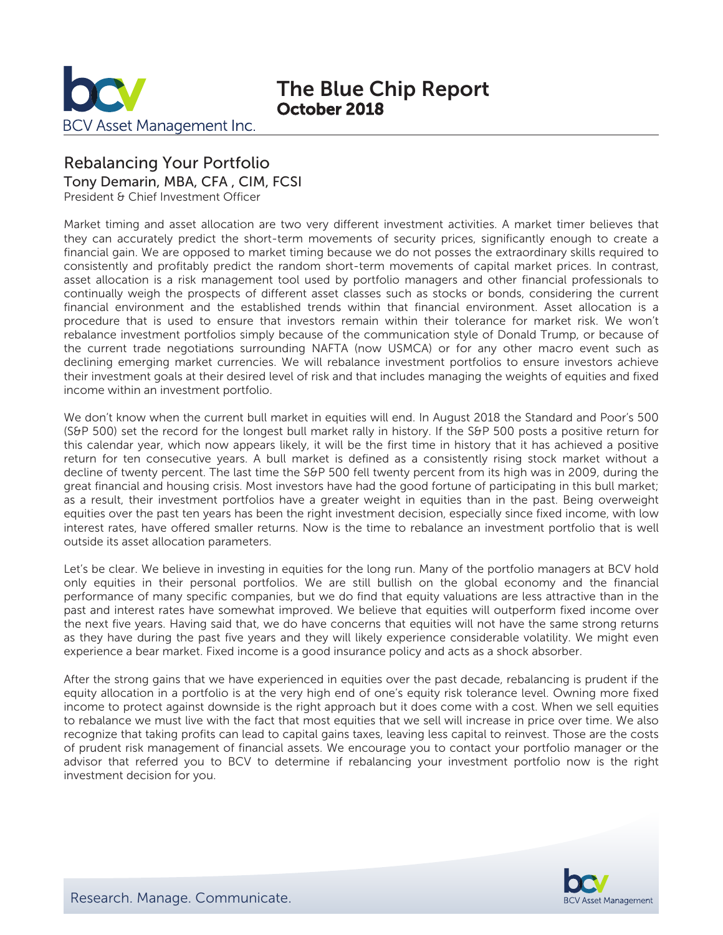

# The Blue Chip Report October 2018

## Rebalancing Your Portfolio

Tony Demarin, MBA, CFA , CIM, FCSI

President & Chief Investment Officer

Market timing and asset allocation are two very different investment activities. A market timer believes that they can accurately predict the short-term movements of security prices, significantly enough to create a financial gain. We are opposed to market timing because we do not posses the extraordinary skills required to consistently and profitably predict the random short-term movements of capital market prices. In contrast, asset allocation is a risk management tool used by portfolio managers and other financial professionals to continually weigh the prospects of different asset classes such as stocks or bonds, considering the current financial environment and the established trends within that financial environment. Asset allocation is a procedure that is used to ensure that investors remain within their tolerance for market risk. We won't rebalance investment portfolios simply because of the communication style of Donald Trump, or because of the current trade negotiations surrounding NAFTA (now USMCA) or for any other macro event such as declining emerging market currencies. We will rebalance investment portfolios to ensure investors achieve their investment goals at their desired level of risk and that includes managing the weights of equities and fixed income within an investment portfolio.

We don't know when the current bull market in equities will end. In August 2018 the Standard and Poor's 500 (S&P 500) set the record for the longest bull market rally in history. If the S&P 500 posts a positive return for this calendar year, which now appears likely, it will be the first time in history that it has achieved a positive return for ten consecutive years. A bull market is defined as a consistently rising stock market without a decline of twenty percent. The last time the S&P 500 fell twenty percent from its high was in 2009, during the great financial and housing crisis. Most investors have had the good fortune of participating in this bull market; as a result, their investment portfolios have a greater weight in equities than in the past. Being overweight equities over the past ten years has been the right investment decision, especially since fixed income, with low interest rates, have offered smaller returns. Now is the time to rebalance an investment portfolio that is well outside its asset allocation parameters.

Let's be clear. We believe in investing in equities for the long run. Many of the portfolio managers at BCV hold only equities in their personal portfolios. We are still bullish on the global economy and the financial performance of many specific companies, but we do find that equity valuations are less attractive than in the past and interest rates have somewhat improved. We believe that equities will outperform fixed income over the next five years. Having said that, we do have concerns that equities will not have the same strong returns as they have during the past five years and they will likely experience considerable volatility. We might even experience a bear market. Fixed income is a good insurance policy and acts as a shock absorber.

After the strong gains that we have experienced in equities over the past decade, rebalancing is prudent if the equity allocation in a portfolio is at the very high end of one's equity risk tolerance level. Owning more fixed income to protect against downside is the right approach but it does come with a cost. When we sell equities to rebalance we must live with the fact that most equities that we sell will increase in price over time. We also recognize that taking profits can lead to capital gains taxes, leaving less capital to reinvest. Those are the costs of prudent risk management of financial assets. We encourage you to contact your portfolio manager or the advisor that referred you to BCV to determine if rebalancing your investment portfolio now is the right investment decision for you.

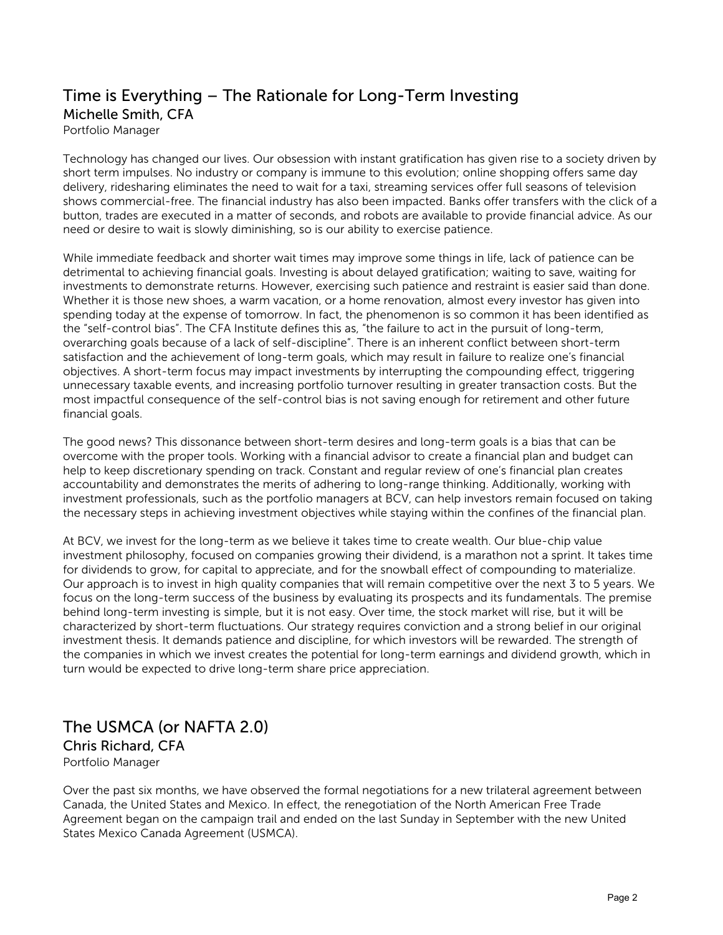### Time is Everything – The Rationale for Long-Term Investing Michelle Smith, CFA Portfolio Manager

Technology has changed our lives. Our obsession with instant gratification has given rise to a society driven by short term impulses. No industry or company is immune to this evolution; online shopping offers same day delivery, ridesharing eliminates the need to wait for a taxi, streaming services offer full seasons of television shows commercial-free. The financial industry has also been impacted. Banks offer transfers with the click of a button, trades are executed in a matter of seconds, and robots are available to provide financial advice. As our need or desire to wait is slowly diminishing, so is our ability to exercise patience.

While immediate feedback and shorter wait times may improve some things in life, lack of patience can be detrimental to achieving financial goals. Investing is about delayed gratification; waiting to save, waiting for investments to demonstrate returns. However, exercising such patience and restraint is easier said than done. Whether it is those new shoes, a warm vacation, or a home renovation, almost every investor has given into spending today at the expense of tomorrow. In fact, the phenomenon is so common it has been identified as the "self-control bias". The CFA Institute defines this as, "the failure to act in the pursuit of long-term, overarching goals because of a lack of self-discipline". There is an inherent conflict between short-term satisfaction and the achievement of long-term goals, which may result in failure to realize one's financial objectives. A short-term focus may impact investments by interrupting the compounding effect, triggering unnecessary taxable events, and increasing portfolio turnover resulting in greater transaction costs. But the most impactful consequence of the self-control bias is not saving enough for retirement and other future financial goals.

The good news? This dissonance between short-term desires and long-term goals is a bias that can be overcome with the proper tools. Working with a financial advisor to create a financial plan and budget can help to keep discretionary spending on track. Constant and regular review of one's financial plan creates accountability and demonstrates the merits of adhering to long-range thinking. Additionally, working with investment professionals, such as the portfolio managers at BCV, can help investors remain focused on taking the necessary steps in achieving investment objectives while staying within the confines of the financial plan.

At BCV, we invest for the long-term as we believe it takes time to create wealth. Our blue-chip value investment philosophy, focused on companies growing their dividend, is a marathon not a sprint. It takes time for dividends to grow, for capital to appreciate, and for the snowball effect of compounding to materialize. Our approach is to invest in high quality companies that will remain competitive over the next 3 to 5 years. We focus on the long-term success of the business by evaluating its prospects and its fundamentals. The premise behind long-term investing is simple, but it is not easy. Over time, the stock market will rise, but it will be characterized by short-term fluctuations. Our strategy requires conviction and a strong belief in our original investment thesis. It demands patience and discipline, for which investors will be rewarded. The strength of the companies in which we invest creates the potential for long-term earnings and dividend growth, which in turn would be expected to drive long-term share price appreciation.

### The USMCA (or NAFTA 2.0) Chris Richard, CFA Portfolio Manager

Over the past six months, we have observed the formal negotiations for a new trilateral agreement between Canada, the United States and Mexico. In effect, the renegotiation of the North American Free Trade Agreement began on the campaign trail and ended on the last Sunday in September with the new United States Mexico Canada Agreement (USMCA).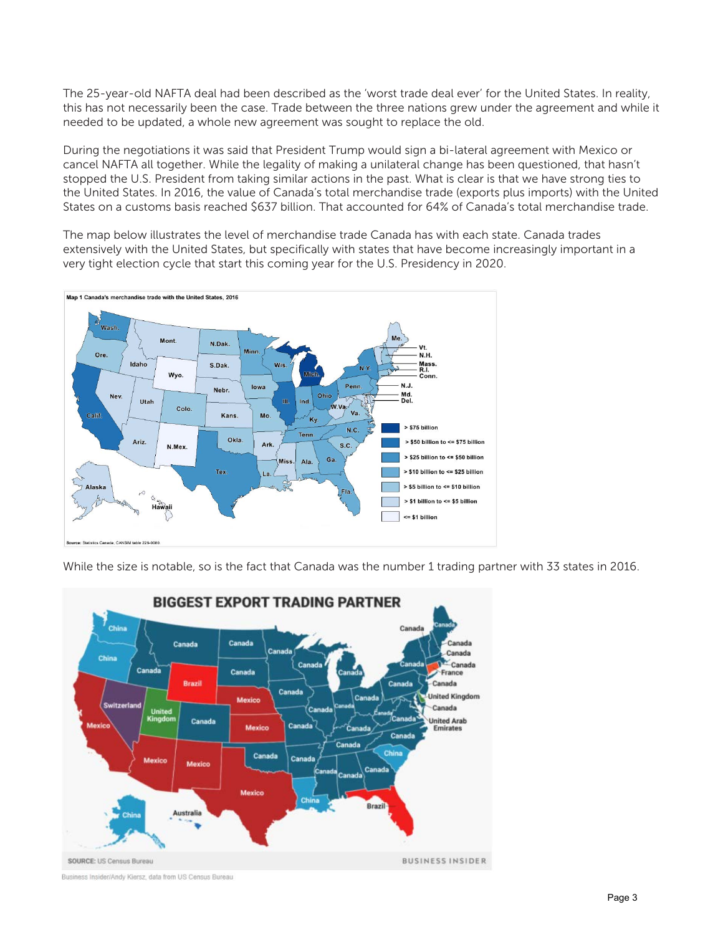The 25-year-old NAFTA deal had been described as the 'worst trade deal ever' for the United States. In reality, this has not necessarily been the case. Trade between the three nations grew under the agreement and while it needed to be updated, a whole new agreement was sought to replace the old.

During the negotiations it was said that President Trump would sign a bi-lateral agreement with Mexico or cancel NAFTA all together. While the legality of making a unilateral change has been questioned, that hasn't stopped the U.S. President from taking similar actions in the past. What is clear is that we have strong ties to the United States. In 2016, the value of Canada's total merchandise trade (exports plus imports) with the United States on a customs basis reached \$637 billion. That accounted for 64% of Canada's total merchandise trade.

The map below illustrates the level of merchandise trade Canada has with each state. Canada trades extensively with the United States, but specifically with states that have become increasingly important in a very tight election cycle that start this coming year for the U.S. Presidency in 2020.



While the size is notable, so is the fact that Canada was the number 1 trading partner with 33 states in 2016.



Business Insider/Andy Kiersz, data from US Census Bureau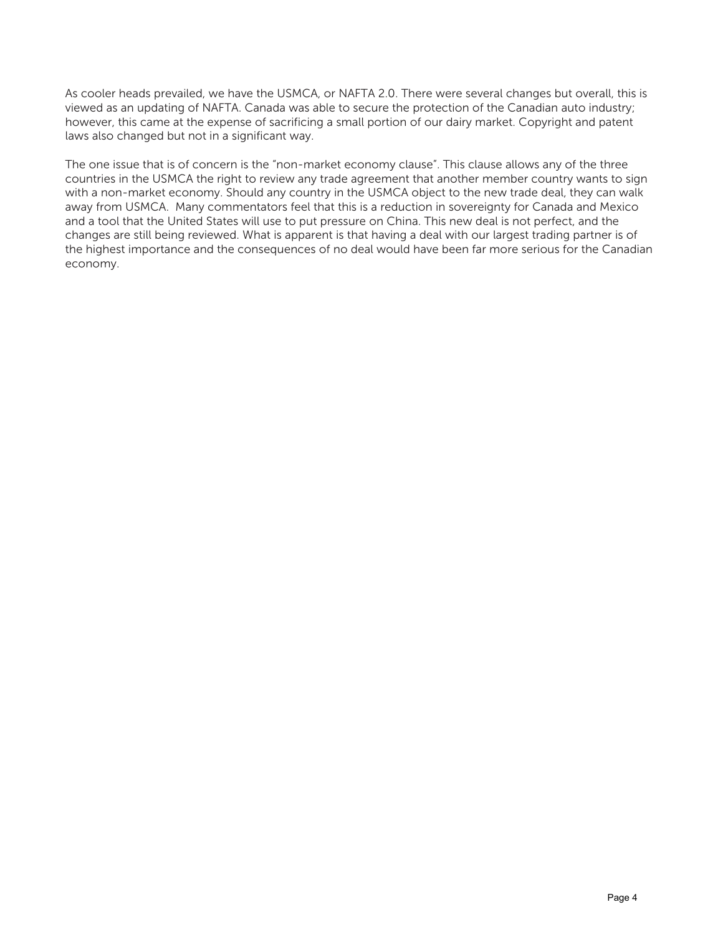As cooler heads prevailed, we have the USMCA, or NAFTA 2.0. There were several changes but overall, this is viewed as an updating of NAFTA. Canada was able to secure the protection of the Canadian auto industry; however, this came at the expense of sacrificing a small portion of our dairy market. Copyright and patent laws also changed but not in a significant way.

The one issue that is of concern is the "non-market economy clause". This clause allows any of the three countries in the USMCA the right to review any trade agreement that another member country wants to sign with a non-market economy. Should any country in the USMCA object to the new trade deal, they can walk away from USMCA. Many commentators feel that this is a reduction in sovereignty for Canada and Mexico and a tool that the United States will use to put pressure on China. This new deal is not perfect, and the changes are still being reviewed. What is apparent is that having a deal with our largest trading partner is of the highest importance and the consequences of no deal would have been far more serious for the Canadian economy.